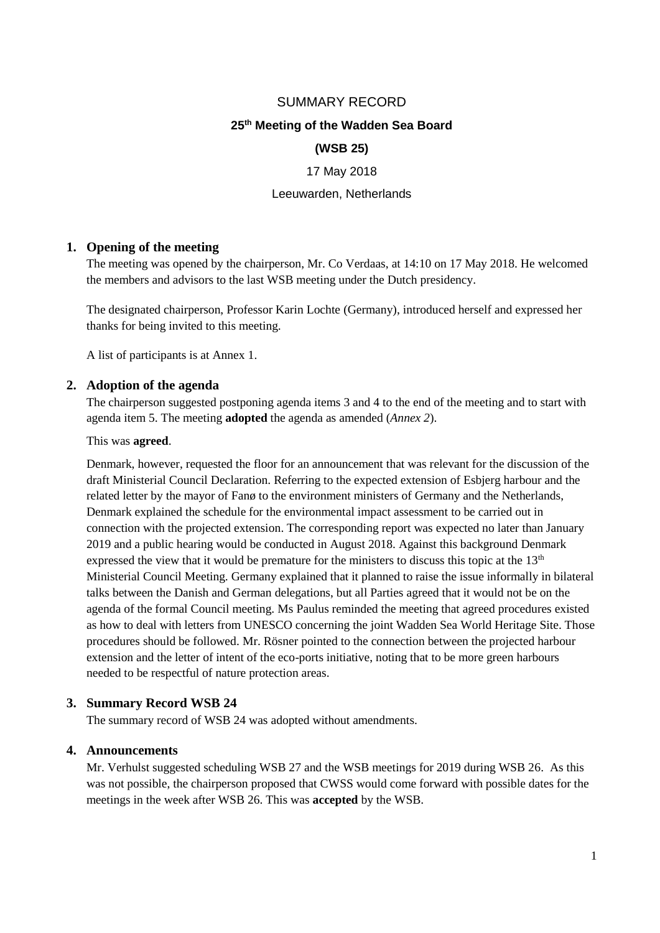## SUMMARY RECORD

## **25 th Meeting of the Wadden Sea Board**

### **(WSB 25)**

#### 17 May 2018

#### Leeuwarden, Netherlands

#### **1. Opening of the meeting**

The meeting was opened by the chairperson, Mr. Co Verdaas, at 14:10 on 17 May 2018. He welcomed the members and advisors to the last WSB meeting under the Dutch presidency.

The designated chairperson, Professor Karin Lochte (Germany), introduced herself and expressed her thanks for being invited to this meeting.

A list of participants is at Annex 1.

#### **2. Adoption of the agenda**

The chairperson suggested postponing agenda items 3 and 4 to the end of the meeting and to start with agenda item 5. The meeting **adopted** the agenda as amended (*Annex 2*).

This was **agreed**.

Denmark, however, requested the floor for an announcement that was relevant for the discussion of the draft Ministerial Council Declaration. Referring to the expected extension of Esbjerg harbour and the related letter by the mayor of Fanø to the environment ministers of Germany and the Netherlands, Denmark explained the schedule for the environmental impact assessment to be carried out in connection with the projected extension. The corresponding report was expected no later than January 2019 and a public hearing would be conducted in August 2018. Against this background Denmark expressed the view that it would be premature for the ministers to discuss this topic at the  $13<sup>th</sup>$ Ministerial Council Meeting. Germany explained that it planned to raise the issue informally in bilateral talks between the Danish and German delegations, but all Parties agreed that it would not be on the agenda of the formal Council meeting. Ms Paulus reminded the meeting that agreed procedures existed as how to deal with letters from UNESCO concerning the joint Wadden Sea World Heritage Site. Those procedures should be followed. Mr. Rösner pointed to the connection between the projected harbour extension and the letter of intent of the eco-ports initiative, noting that to be more green harbours needed to be respectful of nature protection areas.

## **3. Summary Record WSB 24**

The summary record of WSB 24 was adopted without amendments.

## **4. Announcements**

Mr. Verhulst suggested scheduling WSB 27 and the WSB meetings for 2019 during WSB 26. As this was not possible, the chairperson proposed that CWSS would come forward with possible dates for the meetings in the week after WSB 26. This was **accepted** by the WSB.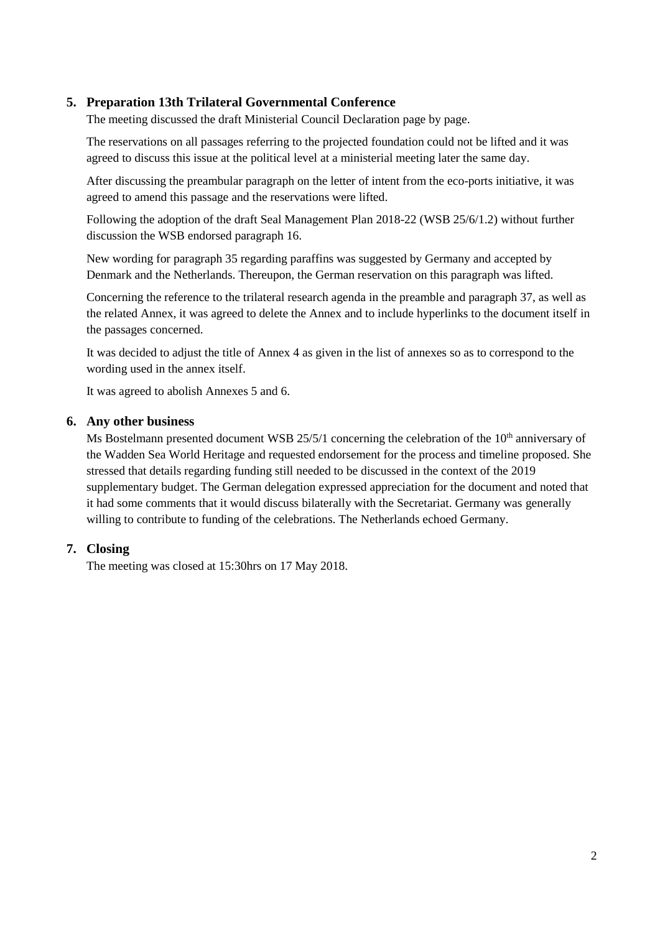## **5. Preparation 13th Trilateral Governmental Conference**

The meeting discussed the draft Ministerial Council Declaration page by page.

The reservations on all passages referring to the projected foundation could not be lifted and it was agreed to discuss this issue at the political level at a ministerial meeting later the same day.

After discussing the preambular paragraph on the letter of intent from the eco-ports initiative, it was agreed to amend this passage and the reservations were lifted.

Following the adoption of the draft Seal Management Plan 2018-22 (WSB 25/6/1.2) without further discussion the WSB endorsed paragraph 16.

New wording for paragraph 35 regarding paraffins was suggested by Germany and accepted by Denmark and the Netherlands. Thereupon, the German reservation on this paragraph was lifted.

Concerning the reference to the trilateral research agenda in the preamble and paragraph 37, as well as the related Annex, it was agreed to delete the Annex and to include hyperlinks to the document itself in the passages concerned.

It was decided to adjust the title of Annex 4 as given in the list of annexes so as to correspond to the wording used in the annex itself.

It was agreed to abolish Annexes 5 and 6.

## **6. Any other business**

Ms Bostelmann presented document WSB  $25/5/1$  concerning the celebration of the  $10<sup>th</sup>$  anniversary of the Wadden Sea World Heritage and requested endorsement for the process and timeline proposed. She stressed that details regarding funding still needed to be discussed in the context of the 2019 supplementary budget. The German delegation expressed appreciation for the document and noted that it had some comments that it would discuss bilaterally with the Secretariat. Germany was generally willing to contribute to funding of the celebrations. The Netherlands echoed Germany.

## **7. Closing**

The meeting was closed at 15:30hrs on 17 May 2018.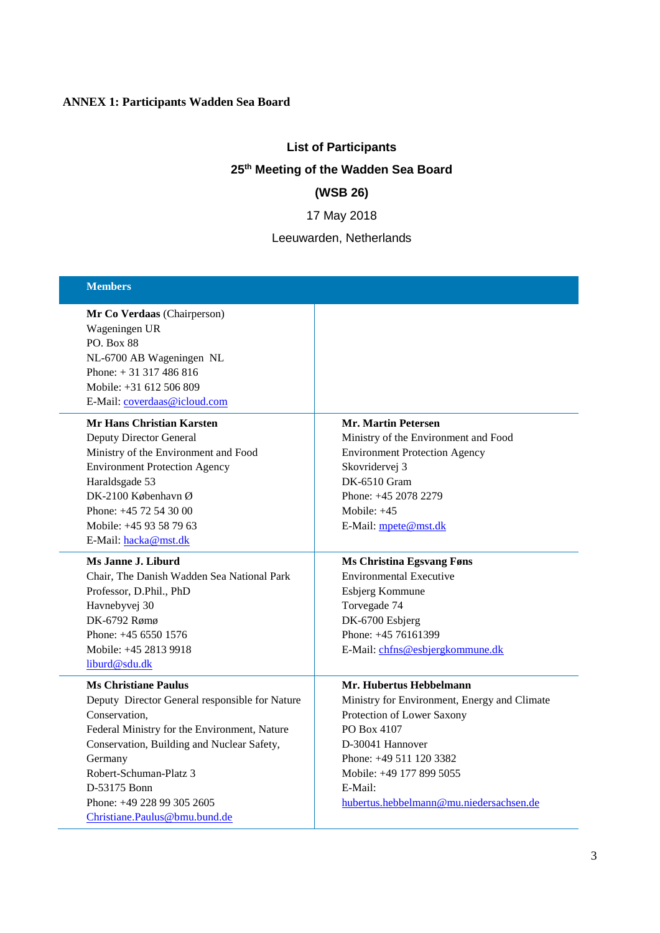# **ANNEX 1: Participants Wadden Sea Board**

# **List of Participants 25 th Meeting of the Wadden Sea Board (WSB 26)**

17 May 2018

Leeuwarden, Netherlands

| <b>Members</b>                                                                                                                                                                                                                                                                                                   |                                                                                                                                                                                                                                                            |
|------------------------------------------------------------------------------------------------------------------------------------------------------------------------------------------------------------------------------------------------------------------------------------------------------------------|------------------------------------------------------------------------------------------------------------------------------------------------------------------------------------------------------------------------------------------------------------|
| Mr Co Verdaas (Chairperson)<br>Wageningen UR<br><b>PO.</b> Box 88<br>NL-6700 AB Wageningen NL<br>Phone: $+31317486816$<br>Mobile: +31 612 506 809<br>E-Mail: coverdaas@icloud.com                                                                                                                                |                                                                                                                                                                                                                                                            |
| <b>Mr Hans Christian Karsten</b><br><b>Deputy Director General</b><br>Ministry of the Environment and Food<br><b>Environment Protection Agency</b><br>Haraldsgade 53<br>DK-2100 København Ø<br>Phone: +45 72 54 30 00<br>Mobile: +45 93 58 79 63<br>E-Mail: hacka@mst.dk                                         | <b>Mr. Martin Petersen</b><br>Ministry of the Environment and Food<br><b>Environment Protection Agency</b><br>Skovridervej 3<br>DK-6510 Gram<br>Phone: +45 2078 2279<br>Mobile: $+45$<br>E-Mail: mpete@mst.dk                                              |
| Ms Janne J. Liburd<br>Chair, The Danish Wadden Sea National Park<br>Professor, D.Phil., PhD<br>Havnebyvej 30<br>DK-6792 Rømø<br>Phone: $+4565501576$<br>Mobile: +45 2813 9918<br>liburd@sdu.dk                                                                                                                   | <b>Ms Christina Egsvang Føns</b><br><b>Environmental Executive</b><br>Esbjerg Kommune<br>Torvegade 74<br>DK-6700 Esbjerg<br>Phone: +45 76161399<br>E-Mail: chfns@esbjergkommune.dk                                                                         |
| <b>Ms Christiane Paulus</b><br>Deputy Director General responsible for Nature<br>Conservation,<br>Federal Ministry for the Environment, Nature<br>Conservation, Building and Nuclear Safety,<br>Germany<br>Robert-Schuman-Platz 3<br>D-53175 Bonn<br>Phone: +49 228 99 305 2605<br>Christiane.Paulus@bmu.bund.de | Mr. Hubertus Hebbelmann<br>Ministry for Environment, Energy and Climate<br>Protection of Lower Saxony<br>PO Box 4107<br>D-30041 Hannover<br>Phone: $+49\ 511\ 120\ 3382$<br>Mobile: +49 177 899 5055<br>E-Mail:<br>hubertus.hebbelmann@mu.niedersachsen.de |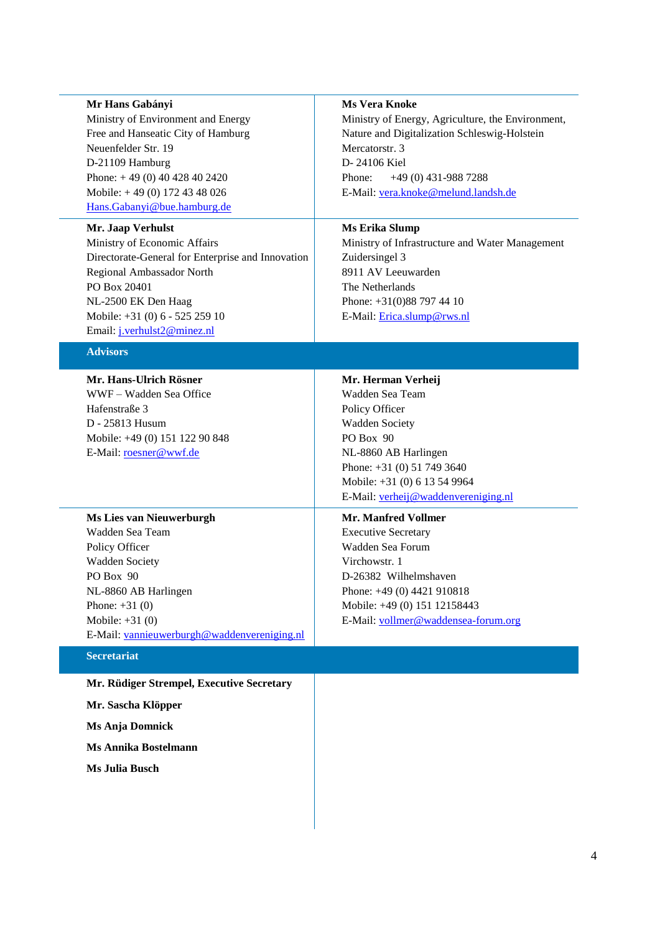#### **Mr Hans Gabányi**

Ministry of Environment and Energy Free and Hanseatic City of Hamburg Neuenfelder Str. 19 D-21109 Hamburg Phone: + 49 (0) 40 428 40 2420 Mobile: + 49 (0) 172 43 48 026 Hans.Gabanyi@bue.hamburg.de

#### **Mr. Jaap Verhulst**

Ministry of Economic Affairs Directorate-General for Enterprise and Innovation Regional Ambassador North PO Box 20401 NL-2500 EK Den Haag Mobile: +31 (0) 6 - 525 259 10 Email: [j.verhulst2@minez.nl](mailto:j.verhulst2@minez.nl)

#### **Advisors**

**Mr. Hans-Ulrich Rösner** WWF – Wadden Sea Office Hafenstraße 3 D - 25813 Husum Mobile: +49 (0) 151 122 90 848 E-Mail: [roesner@wwf.de](mailto:roesner@wwf.de)

# **Ms Vera Knoke**

Ministry of Energy, Agriculture, the Environment, Nature and Digitalization Schleswig-Holstein Mercatorstr. 3 D- 24106 Kiel Phone: +49 (0) 431-988 7288 E-Mail: [vera.knoke@melund.landsh.del](mailto:vera.knoke@melund.landsh.de):

## **Ms Erika Slump**

Ministry of Infrastructure and Water Management Zuidersingel 3 8911 AV Leeuwarden The Netherlands Phone: +31(0)88 797 44 10 E-Mail: [Erica.slump@rws.nl](mailto:Erica.slump@rws.nl)

## **Mr. Herman Verheij** Wadden Sea Team Policy Officer Wadden Society PO Box 90 NL-8860 AB Harlingen Phone: +31 (0) 51 749 3640 Mobile: +31 (0) 6 13 54 9964 E-Mail: [verheij@waddenvereniging.nl](mailto:verheij@waddenvereniging.nl)

**Ms Lies van Nieuwerburgh** Wadden Sea Team Policy Officer Wadden Society PO Box 90 NL-8860 AB Harlingen Phone: +31 (0) Mobile: +31 (0) E-Mail: [vannieuwerburgh@waddenvereniging.nl](mailto:vannieuwerburgh@waddenvereniging.nl)

#### **Secretariat**

**Mr. Rüdiger Strempel, Executive Secretary**

**Mr. Sascha Klöpper**

**Ms Anja Domnick**

**Ms Annika Bostelmann**

**Ms Julia Busch**

**Mr. Manfred Vollmer** Executive Secretary Wadden Sea Forum Virchowstr. 1 D-26382 Wilhelmshaven Phone: +49 (0) 4421 910818 Mobile: +49 (0) 151 12158443 E-Mail: [vollmer@waddensea-forum.org](mailto:vollmer@waddensea-forum.org)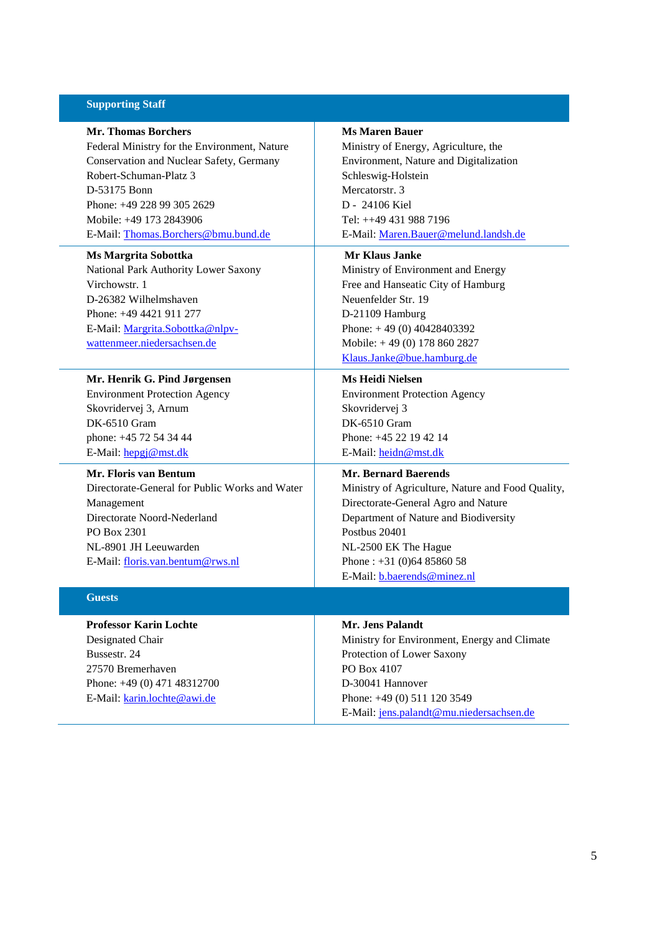#### **Supporting Staff**

**Mr. Thomas Borchers** Federal Ministry for the Environment, Nature Conservation and Nuclear Safety, Germany Robert-Schuman-Platz 3 D-53175 Bonn Phone: +49 228 99 305 2629 Mobile: +49 173 2843906 E-Mail: [Thomas.Borchers@bmu.bund.de](mailto:Thomas.Borchers@bmu.bund.de)

#### **Ms Margrita Sobottka**

National Park Authority Lower Saxony Virchowstr. 1 D-26382 Wilhelmshaven Phone: +49 4421 911 277 E-Mail: [Margrita.Sobottka@nlpv](mailto:Margrita.Sobottka@nlpv-wattenmeer.niedersachsen.de)[wattenmeer.niedersachsen.de](mailto:Margrita.Sobottka@nlpv-wattenmeer.niedersachsen.de)

#### **Mr. Henrik G. Pind Jørgensen**

Environment Protection Agency Skovridervej 3, Arnum DK-6510 Gram phone: +45 72 54 34 44 E-Mail: [hepgj@mst.dk](mailto:hepgj@mst.dk)

**Mr. Floris van Bentum**

Directorate-General for Public Works and Water Management Directorate Noord-Nederland PO Box 2301 NL-8901 JH Leeuwarden E-Mail: [floris.van.bentum@rws.nl](mailto:floris.van.bentum@rws.nl)

#### **Guests**

**Professor Karin Lochte** Designated Chair Bussestr. 24 27570 Bremerhaven Phone: +49 (0) 471 48312700 E-Mail: [karin.lochte@awi.de](mailto:karin.lochte@awi.de)

#### **Ms Maren Bauer**

Ministry of Energy, Agriculture, the Environment, Nature and Digitalization Schleswig-Holstein Mercatorstr. 3 D - 24106 Kiel Tel: ++49 431 988 7196 E-Mail: [Maren.Bauer@melund.landsh.de](mailto:Maren.Bauer@melund.landsh.de)

#### **Mr Klaus Janke**

Ministry of Environment and Energy Free and Hanseatic City of Hamburg Neuenfelder Str. 19 D-21109 Hamburg Phone: + 49 (0) 40428403392 Mobile: + 49 (0) 178 860 2827 [Klaus.Janke@bue.hamburg.de](mailto:Klaus.Janke@bue.hamburg.de)

#### **Ms Heidi Nielsen**

Environment Protection Agency Skovridervej 3 DK-6510 Gram Phone: +45 22 19 42 14 E-Mail: [heidn@mst.dk](mailto:heidn@mst.dk)

#### **Mr. Bernard Baerends**

Ministry of Agriculture, Nature and Food Quality, Directorate-General Agro and Nature Department of Nature and Biodiversity Postbus 20401 NL-2500 EK The Hague Phone : +31 (0)64 85860 58 E-Mail: [b.baerends@minez.nl](mailto:b.baerends@minez.nl)

## **Mr. Jens Palandt**

Ministry for Environment, Energy and Climate Protection of Lower Saxony PO Box 4107 D-30041 Hannover Phone: +49 (0) 511 120 3549 E-Mail: [jens.palandt@mu.niedersachsen.de](mailto:jens.palandt@mu.niedersachsen.de)